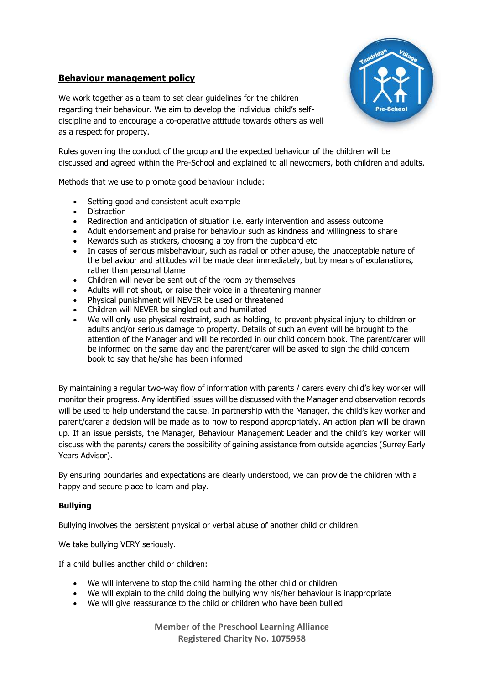## **Behaviour management policy**



We work together as a team to set clear guidelines for the children regarding their behaviour. We aim to develop the individual child's selfdiscipline and to encourage a co-operative attitude towards others as well as a respect for property.

Rules governing the conduct of the group and the expected behaviour of the children will be discussed and agreed within the Pre-School and explained to all newcomers, both children and adults.

Methods that we use to promote good behaviour include:

- Setting good and consistent adult example
- Distraction
- Redirection and anticipation of situation i.e. early intervention and assess outcome
- Adult endorsement and praise for behaviour such as kindness and willingness to share
- Rewards such as stickers, choosing a toy from the cupboard etc
- In cases of serious misbehaviour, such as racial or other abuse, the unacceptable nature of the behaviour and attitudes will be made clear immediately, but by means of explanations, rather than personal blame
- Children will never be sent out of the room by themselves
- Adults will not shout, or raise their voice in a threatening manner
- Physical punishment will NEVER be used or threatened
- Children will NEVER be singled out and humiliated
- We will only use physical restraint, such as holding, to prevent physical injury to children or adults and/or serious damage to property. Details of such an event will be brought to the attention of the Manager and will be recorded in our child concern book. The parent/carer will be informed on the same day and the parent/carer will be asked to sign the child concern book to say that he/she has been informed

By maintaining a regular two-way flow of information with parents / carers every child's key worker will monitor their progress. Any identified issues will be discussed with the Manager and observation records will be used to help understand the cause. In partnership with the Manager, the child's key worker and parent/carer a decision will be made as to how to respond appropriately. An action plan will be drawn up. If an issue persists, the Manager, Behaviour Management Leader and the child's key worker will discuss with the parents/ carers the possibility of gaining assistance from outside agencies (Surrey Early Years Advisor).

By ensuring boundaries and expectations are clearly understood, we can provide the children with a happy and secure place to learn and play.

## **Bullying**

Bullying involves the persistent physical or verbal abuse of another child or children.

We take bullying VERY seriously.

If a child bullies another child or children:

- We will intervene to stop the child harming the other child or children
- We will explain to the child doing the bullying why his/her behaviour is inappropriate
- We will give reassurance to the child or children who have been bullied

**Member of the Preschool Learning Alliance Registered Charity No. 1075958**